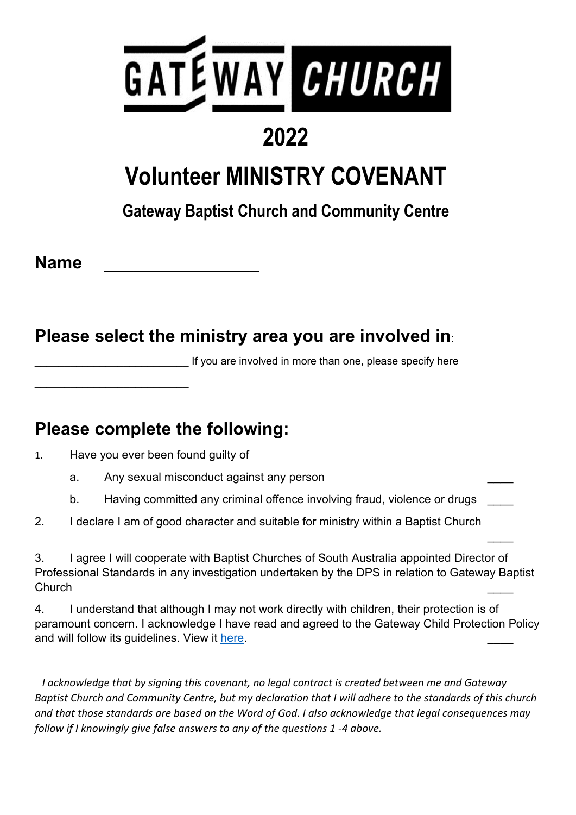

## **2022**

## **Volunteer MINISTRY COVENANT**

### **Gateway Baptist Church and Community Centre**

**Name** \_\_\_\_\_\_\_\_\_\_\_\_\_\_\_\_

#### **Please select the ministry area you are involved in**:

If you are involved in more than one, please specify here

 $\overline{\phantom{a}}$ 

#### **Please complete the following:**

1. Have you ever been found guilty of

\_\_\_\_\_\_\_\_\_\_\_\_\_\_\_\_\_\_\_\_\_\_\_\_\_\_

- a. Any sexual misconduct against any person
- b. Having committed any criminal offence involving fraud, violence or drugs
- 2. I declare I am of good character and suitable for ministry within a Baptist Church

3. I agree I will cooperate with Baptist Churches of South Australia appointed Director of Professional Standards in any investigation undertaken by the DPS in relation to Gateway Baptist Church \_\_\_\_

4. I understand that although I may not work directly with children, their protection is of paramount concern. I acknowledge I have read and agreed to the Gateway Child Protection Policy and will follow its guidelines. View it [here.](https://www.atgateway.church/_files/ugd/8bafc1_020cf09d6f054451b34e79d80b967c20.pdf)

 *I acknowledge that by signing this covenant, no legal contract is created between me and Gateway Baptist Church and Community Centre, but my declaration that I will adhere to the standards of this church and that those standards are based on the Word of God. I also acknowledge that legal consequences may follow if I knowingly give false answers to any of the questions 1 -4 above.*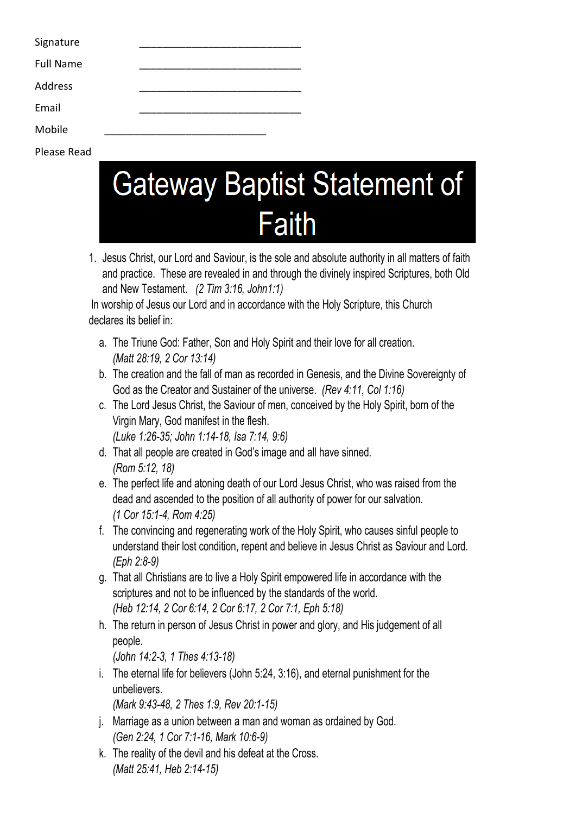| Signature        |  |  |  |  |
|------------------|--|--|--|--|
| <b>Full Name</b> |  |  |  |  |
| Address          |  |  |  |  |
| Email            |  |  |  |  |
| Mobile           |  |  |  |  |
| Please Read      |  |  |  |  |

# **Gateway Baptist Statement of Faith**

1. Jesus Christ, our Lord and Saviour, is the sole and absolute authority in all matters of faith and practice. These are revealed in and through the divinely inspired Scriptures, both Old and New Testament. *(2 Tim 3:16, John1:1)*

In worship of Jesus our Lord and in accordance with the Holy Scripture, this Church declares its belief in:

- a. The Triune God: Father, Son and Holy Spirit and their love for all creation. *(Matt 28:19, 2 Cor 13:14)*
- b. The creation and the fall of man as recorded in Genesis, and the Divine Sovereignty of God as the Creator and Sustainer of the universe. *(Rev 4:11, Col 1:16)*
- c. The Lord Jesus Christ, the Saviour of men, conceived by the Holy Spirit, born of the Virgin Mary, God manifest in the flesh. *(Luke 1:26-35; John 1:14-18, Isa 7:14, 9:6)*
- d. That all people are created in God's image and all have sinned. *(Rom 5:12, 18)*
- e. The perfect life and atoning death of our Lord Jesus Christ, who was raised from the dead and ascended to the position of all authority of power for our salvation. *(1 Cor 15:1-4, Rom 4:25)*
- f. The convincing and regenerating work of the Holy Spirit, who causes sinful people to understand their lost condition, repent and believe in Jesus Christ as Saviour and Lord. *(Eph 2:8-9)*
- g. That all Christians are to live a Holy Spirit empowered life in accordance with the scriptures and not to be influenced by the standards of the world. *(Heb 12:14, 2 Cor 6:14, 2 Cor 6:17, 2 Cor 7:1, Eph 5:18)*
- h. The return in person of Jesus Christ in power and glory, and His judgement of all people. *(John 14:2-3, 1 Thes 4:13-18)*
- i. The eternal life for believers (John 5:24, 3:16), and eternal punishment for the unbelievers.

*(Mark 9:43-48, 2 Thes 1:9, Rev 20:1-15)*

- j. Marriage as a union between a man and woman as ordained by God. *(Gen 2:24, 1 Cor 7:1-16, Mark 10:6-9)*
- k. The reality of the devil and his defeat at the Cross. *(Matt 25:41, Heb 2:14-15)*